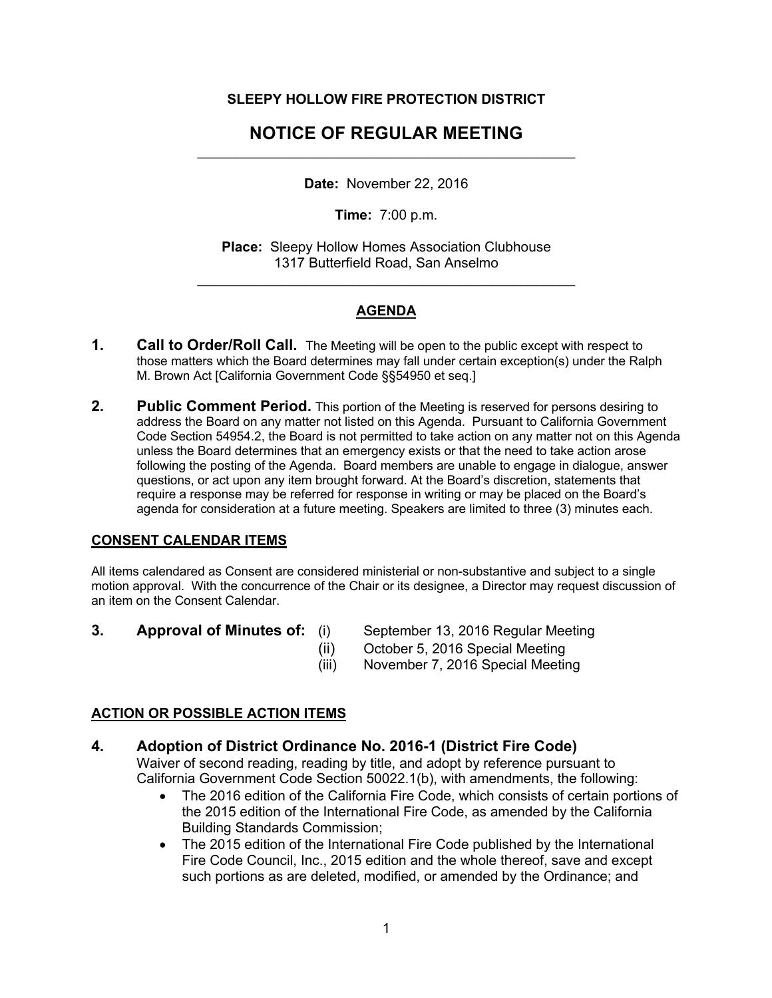#### **SLEEPY HOLLOW FIRE PROTECTION DISTRICT**

# **NOTICE OF REGULAR MEETING**  $\mathcal{L}_\text{max}$  and  $\mathcal{L}_\text{max}$  and  $\mathcal{L}_\text{max}$  and  $\mathcal{L}_\text{max}$  and  $\mathcal{L}_\text{max}$

**Date:** November 22, 2016

**Time:** 7:00 p.m.

**Place:** Sleepy Hollow Homes Association Clubhouse 1317 Butterfield Road, San Anselmo

 $\mathcal{L}_\text{max}$  and  $\mathcal{L}_\text{max}$  and  $\mathcal{L}_\text{max}$  and  $\mathcal{L}_\text{max}$  and  $\mathcal{L}_\text{max}$ 

# **AGENDA**

- **1. Call to Order/Roll Call.** The Meeting will be open to the public except with respect to those matters which the Board determines may fall under certain exception(s) under the Ralph M. Brown Act [California Government Code §§54950 et seq.]
- **2. Public Comment Period.** This portion of the Meeting is reserved for persons desiring to address the Board on any matter not listed on this Agenda. Pursuant to California Government Code Section 54954.2, the Board is not permitted to take action on any matter not on this Agenda unless the Board determines that an emergency exists or that the need to take action arose following the posting of the Agenda. Board members are unable to engage in dialogue, answer questions, or act upon any item brought forward. At the Board's discretion, statements that require a response may be referred for response in writing or may be placed on the Board's agenda for consideration at a future meeting. Speakers are limited to three (3) minutes each.

#### **CONSENT CALENDAR ITEMS**

All items calendared as Consent are considered ministerial or non-substantive and subject to a single motion approval. With the concurrence of the Chair or its designee, a Director may request discussion of an item on the Consent Calendar.

- 
- **3. Approval of Minutes of:** (i) September 13, 2016 Regular Meeting
	- (ii) October 5, 2016 Special Meeting
	- (iii) November 7, 2016 Special Meeting

## **ACTION OR POSSIBLE ACTION ITEMS**

## **4. Adoption of District Ordinance No. 2016-1 (District Fire Code)**

Waiver of second reading, reading by title, and adopt by reference pursuant to California Government Code Section 50022.1(b), with amendments, the following:

- The 2016 edition of the California Fire Code, which consists of certain portions of the 2015 edition of the International Fire Code, as amended by the California Building Standards Commission;
- The 2015 edition of the International Fire Code published by the International Fire Code Council, Inc., 2015 edition and the whole thereof, save and except such portions as are deleted, modified, or amended by the Ordinance; and